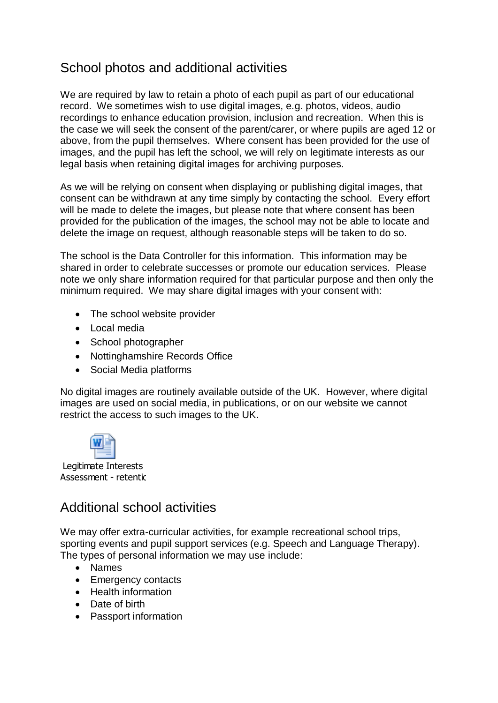## School photos and additional activities

We are required by law to retain a photo of each pupil as part of our educational record. We sometimes wish to use digital images, e.g. photos, videos, audio recordings to enhance education provision, inclusion and recreation. When this is the case we will seek the consent of the parent/carer, or where pupils are aged 12 or above, from the pupil themselves. Where consent has been provided for the use of images, and the pupil has left the school, we will rely on legitimate interests as our legal basis when retaining digital images for archiving purposes.

As we will be relying on consent when displaying or publishing digital images, that consent can be withdrawn at any time simply by contacting the school. Every effort will be made to delete the images, but please note that where consent has been provided for the publication of the images, the school may not be able to locate and delete the image on request, although reasonable steps will be taken to do so.

The school is the Data Controller for this information. This information may be shared in order to celebrate successes or promote our education services. Please note we only share information required for that particular purpose and then only the minimum required. We may share digital images with your consent with:

- The school website provider
- Local media
- School photographer
- Nottinghamshire Records Office
- Social Media platforms

No digital images are routinely available outside of the UK. However, where digital images are used on social media, in publications, or on our website we cannot restrict the access to such images to the UK.



Legitimate Interests Assessment - retentic

## Additional school activities

We may offer extra-curricular activities, for example recreational school trips, sporting events and pupil support services (e.g. Speech and Language Therapy). The types of personal information we may use include:

- Names
- Emergency contacts
- Health information
- Date of birth
- Passport information